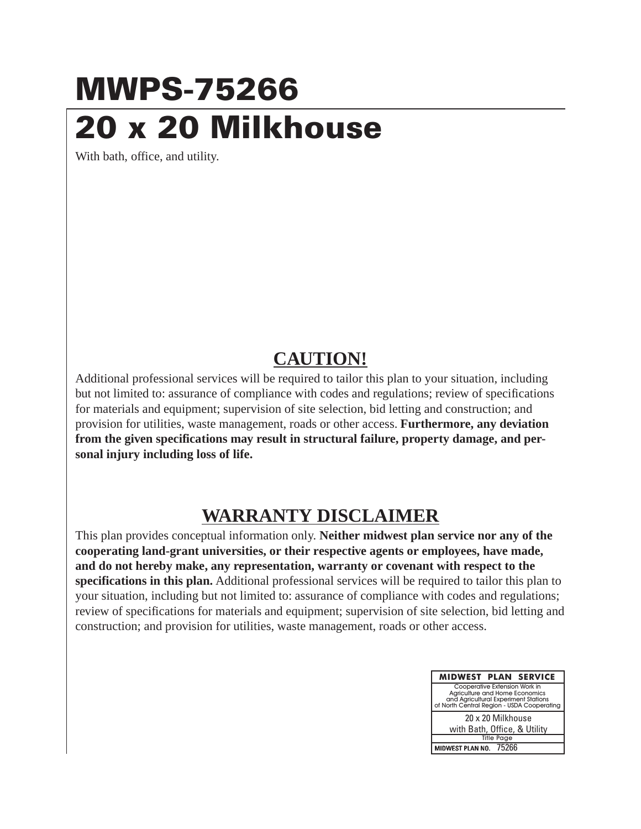## **MWPS-75266 20 x 20 Milkhouse**

With bath, office, and utility.

## **CAUTION!**

Additional professional services will be required to tailor this plan to your situation, including but not limited to: assurance of compliance with codes and regulations; review of specifications for materials and equipment; supervision of site selection, bid letting and construction; and provision for utilities, waste management, roads or other access. **Furthermore, any deviation from the given specifications may result in structural failure, property damage, and personal injury including loss of life.**

## **WARRANTY DISCLAIMER**

This plan provides conceptual information only. **Neither midwest plan service nor any of the cooperating land-grant universities, or their respective agents or employees, have made, and do not hereby make, any representation, warranty or covenant with respect to the specifications in this plan.** Additional professional services will be required to tailor this plan to your situation, including but not limited to: assurance of compliance with codes and regulations; review of specifications for materials and equipment; supervision of site selection, bid letting and construction; and provision for utilities, waste management, roads or other access.

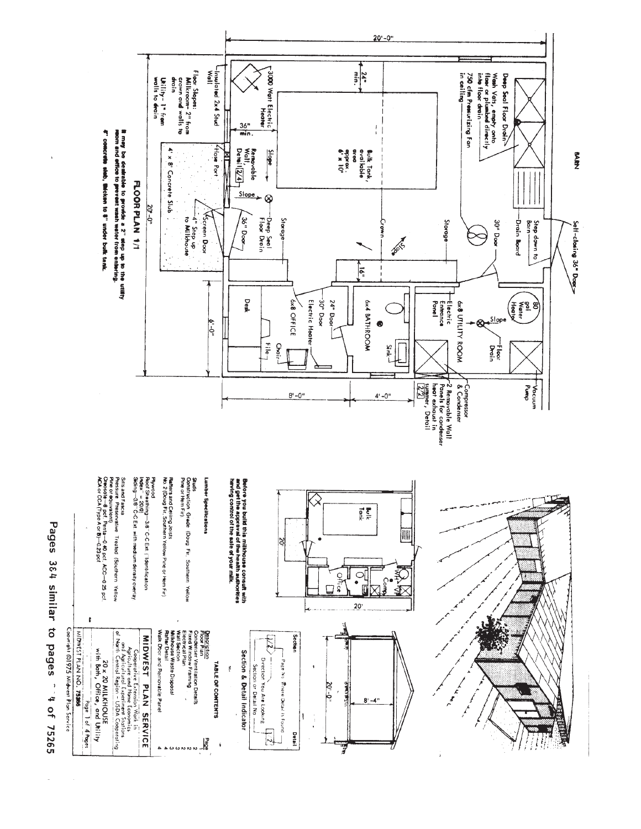

Pages 364 similar to pages " 4 of 75265

i,

 $\hat{\boldsymbol{\beta}}$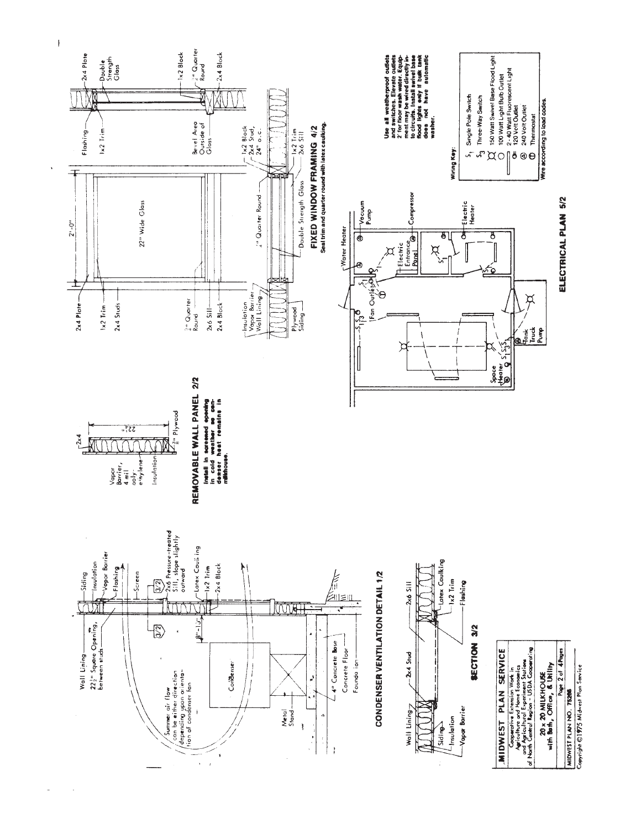



Mire according to load codes.

Copyright @1975 Midwest Plan Service MIDWEST PLAN NO. 75266

Page 2 of 4Pages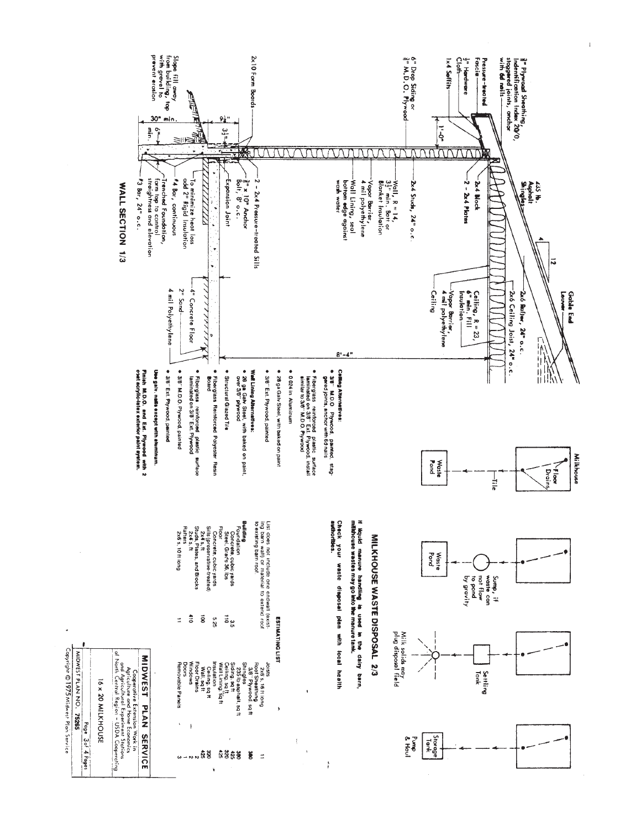

 $\bar{1}$ 

I6 x 20 MILKHOUSE Page 3of 4 Pages

Copyright © 1975 Midwest Plan Service MIDWEST PLAN NO. 75265

 $\hat{\mathbf{v}}$  $\begin{array}{c}\n68 \\
a + 4 \\
b + 3\n\end{array}$ 

ង **ខ្ញុំ** ខ្ញុំ ខ្ញុំ  $\Rightarrow$ 

ţ

 $\overline{\phantom{a}}$ 

 $\frac{3}{5}$ 

Storage<br>Storage

Pump<br>& Haul